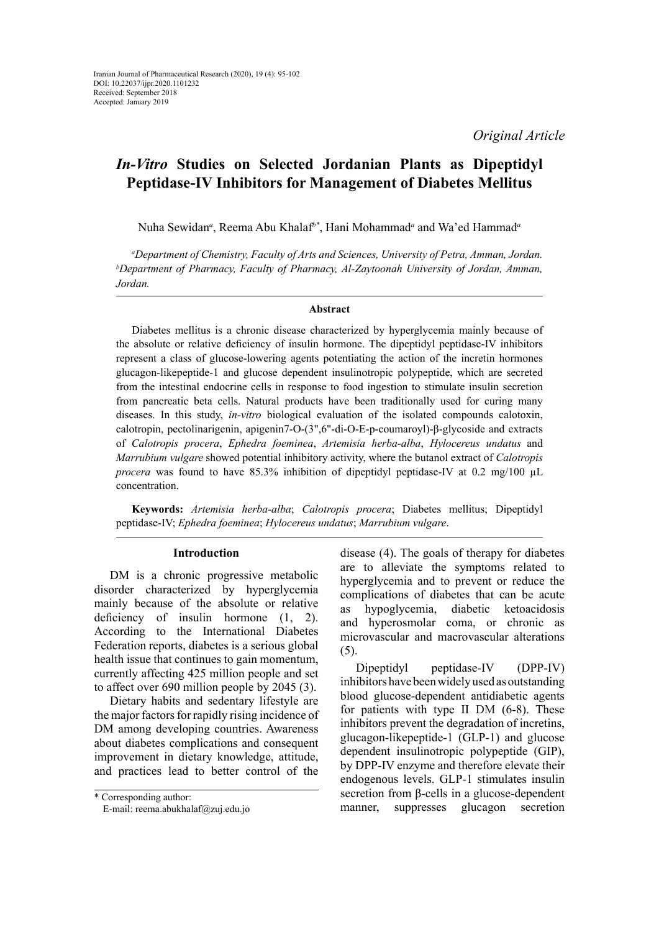# *In-Vitro* **Studies on Selected Jordanian Plants as Dipeptidyl Peptidase-IV Inhibitors for Management of Diabetes Mellitus**

Nuha Sewidan*<sup>a</sup>* , Reema Abu Khalaf*b\**, Hani Mohammad*<sup>a</sup>* and Wa'ed Hammad*<sup>a</sup>*

*a Department of Chemistry, Faculty of Arts and Sciences, University of Petra, Amman, Jordan. b Department of Pharmacy, Faculty of Pharmacy, Al-Zaytoonah University of Jordan, Amman, Jordan.*

### **Abstract**

Diabetes mellitus is a chronic disease characterized by hyperglycemia mainly because of the absolute or relative deficiency of insulin hormone. The dipeptidyl peptidase-IV inhibitors represent a class of glucose-lowering agents potentiating the action of the incretin hormones glucagon-likepeptide-1 and glucose dependent insulinotropic polypeptide, which are secreted from the intestinal endocrine cells in response to food ingestion to stimulate insulin secretion from pancreatic beta cells. Natural products have been traditionally used for curing many diseases. In this study, *in-vitro* biological evaluation of the isolated compounds calotoxin, calotropin, pectolinarigenin, apigenin7-O-(3",6"-di-O-E-p-coumaroyl)-β-glycoside and extracts of *Calotropis procera*, *Ephedra foeminea*, *Artemisia herba-alba*, *[Hylocereus undatus](https://en.wikipedia.org/wiki/Hylocereus_undatus)* and *Marrubium vulgare* showed potential inhibitory activity, where the butanol extract of *Calotropis procera* was found to have 85.3% inhibition of dipeptidyl peptidase-IV at 0.2 mg/100 µL concentration.

**Keywords:** *Artemisia herba-alba*; *Calotropis procera*; Diabetes mellitus; Dipeptidyl peptidase-IV; *Ephedra foeminea*; *[Hylocereus undatus](https://en.wikipedia.org/wiki/Hylocereus_undatus)*; *Marrubium vulgare*.

#### **Introduction**

DM is a chronic progressive metabolic disorder characterized by hyperglycemia mainly because of the absolute or relative deficiency of insulin hormone  $(1, 2)$ . According to the International Diabetes Federation reports, diabetes is a serious global health issue that continues to gain momentum, currently affecting 425 million people and set to affect over 690 million people by 2045 (3).

Dietary habits and sedentary lifestyle are the major factors for rapidly rising incidence of DM among developing countries. Awareness about diabetes complications and consequent improvement in dietary knowledge, attitude, and practices lead to better control of the

\* Corresponding author: E-mail: [reema.abukhalaf@zuj.edu.jo](mailto:reema.abukhalaf@zuj.edu.jo)

disease (4). The goals of therapy for diabetes are to alleviate the symptoms related to hyperglycemia and to prevent or reduce the complications of diabetes that can be acute hypoglycemia, diabetic ketoacidosis and hyperosmolar coma, or chronic as microvascular and macrovascular alterations (5).

Dipeptidyl peptidase-IV (DPP-IV) inhibitors have been widely used as outstanding blood glucose-dependent antidiabetic agents for patients with type II DM (6-8). These inhibitors prevent the degradation of incretins, glucagon-likepeptide-1 (GLP-1) and glucose dependent insulinotropic polypeptide (GIP), by DPP-IV enzyme and therefore elevate their endogenous levels. GLP-1 stimulates insulin secretion from β-cells in a glucose-dependent manner, suppresses glucagon secretion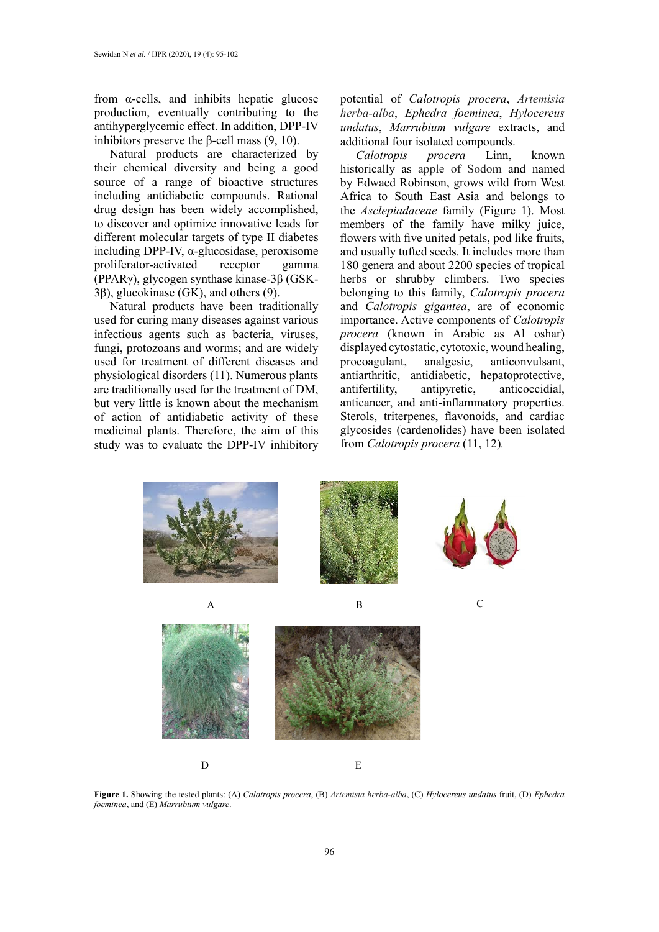from α-cells, and inhibits hepatic glucose production, eventually contributing to the antihyperglycemic effect. In addition, DPP-IV inhibitors preserve the β-cell mass (9, 10).

Natural products are characterized by their chemical diversity and being a good source of a range of bioactive structures including antidiabetic compounds. Rational drug design has been widely accomplished, to discover and optimize innovative leads for different molecular targets of type II diabetes including DPP-IV, α-glucosidase, peroxisome proliferator-activated receptor gamma (PPARγ), glycogen synthase kinase-3β (GSK-3β), glucokinase (GK), and others (9).

Natural products have been traditionally used for curing many diseases against various infectious agents such as bacteria, viruses, fungi, protozoans and worms; and are widely used for treatment of different diseases and physiological disorders (11). Numerous plants are traditionally used for the treatment of DM, but very little is known about the mechanism of action of antidiabetic activity of these medicinal plants. Therefore, the aim of this study was to evaluate the DPP-IV inhibitory

potential of *Calotropis procera*, *Artemisia herba-alba*, *Ephedra foeminea*, *Hylocereus undatus*, *Marrubium vulgare* extracts, and additional four isolated compounds.<br>Calotropis procera Linn.

*Calotropis procera* Linn, known historically as apple of Sodom and named by Edwaed Robinson, grows wild from West Africa to South East Asia and belongs to the *Asclepiadaceae* family (Figure 1). Most members of the family have milky juice, flowers with five united petals, pod like fruits, and usually tufted seeds. It includes more than 180 genera and about 2200 species of tropical herbs or shrubby climbers. Two species belonging to this family, *Calotropis procera* and *Calotropis gigantea*, are of economic importance. Active components of *Calotropis procera* (known in Arabic as Al oshar) displayed cytostatic, cytotoxic, wound healing, procoagulant, analgesic, anticonvulsant, antiarthritic, antidiabetic, hepatoprotective, antifertility, antipyretic, anticoccidial, anticancer, and anti-inflammatory properties. Sterols, triterpenes, flavonoids, and cardiac glycosides (cardenolides) have been isolated from *Calotropis procera* (11, 12)*.*



**Figure 1.** Showing the tested plants: (A) *Calotropis procera*, (B) *Artemisia herba-alba*, (C) *[Hylocereus undatus](https://en.wikipedia.org/wiki/Hylocereus_undatus)* fruit, (D) *Ephedra foeminea*, and (E) *Marrubium vulgare*.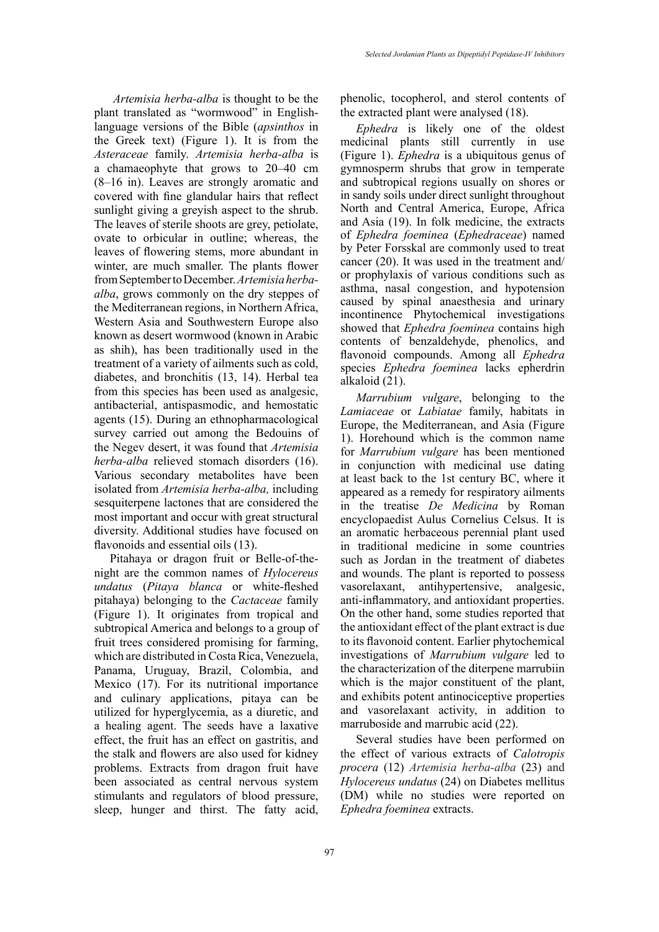*Selected Jordanian Plants as Dipeptidyl Peptidase-IV Inhibitors*

 *Artemisia herba-alba* is thought to be the plant translated as "[wormwood"](https://en.wikipedia.org/wiki/Wormwood_(Bible)) in Englishlanguage versions of the Bible (*apsinthos* in the Greek text) (Figure 1). It is from the *Asteraceae* family. *Artemisia herba-alba* is a [chamaeophyte](https://en.wikipedia.org/wiki/Chamaeophyte) that grows to 20–40 cm (8–16 in). [Leaves](https://en.wikipedia.org/wiki/Leaf) are strongly aromatic and covered with fine [glandular hairs](https://en.wikipedia.org/wiki/Trichome) that reflect sunlight giving a greyish aspect to the shrub. The leaves of sterile shoots are grey, [petiolate,](https://en.wikipedia.org/wiki/Petiole_(botany)) ovate to [orbicular](https://en.wiktionary.org/wiki/orbicular) in outline; whereas, the leaves of flowering stems, more abundant in winter, are much smaller. The plants flower from September to December. *Artemisia herbaalba*, grows commonly on the dry steppes of the Mediterranean regions, in Northern Africa, Western Asia and Southwestern Europe also known as desert wormwood (known in Arabic as shih), has been traditionally used in the treatment of a variety of ailments such as cold, diabetes, and bronchitis (13, 14). Herbal tea from this species has been used as analgesic, antibacterial, antispasmodic, and hemostatic agents (15). During an ethnopharmacological survey carried out among the Bedouins of the Negev desert, it was found that *Artemisia herba-alba* relieved stomach disorders (16). Various secondary metabolites have been isolated from *Artemisia herba-alba,* including sesquiterpene lactones that are considered the most important and occur with great structural diversity. Additional studies have focused on flavonoids and essential oils (13).

Pitahaya or dragon fruit or Belle-of-thenight are the common names of *Hylocereus undatus* (*Pitaya blanca* or white-fleshed pitahaya) belonging to the *Cactaceae* family (Figure 1). It originates from tropical and subtropical America and belongs to a group of fruit trees considered promising for farming, which are distributed in Costa Rica, Venezuela, Panama, Uruguay, Brazil, Colombia, and Mexico (17). For its nutritional importance and culinary applications, pitaya can be utilized for hyperglycemia, as a diuretic, and a healing agent. The seeds have a laxative effect, the fruit has an effect on gastritis, and the stalk and flowers are also used for kidney problems. Extracts from dragon fruit have been associated as central nervous system stimulants and regulators of blood pressure, sleep, hunger and thirst. The fatty acid,

phenolic, tocopherol, and sterol contents of the extracted plant were analysed (18).

*Ephedra* is likely one of the oldest medicinal plants still currently in use (Figure 1). *Ephedra* is a ubiquitous genus of gymnosperm shrubs that grow in temperate and subtropical regions usually on shores or in sandy soils under direct sunlight throughout North and Central America, Europe, Africa and Asia (19). In folk medicine, the extracts of *Ephedra foeminea* (*Ephedraceae*) named by Peter Forsskal are commonly used to treat cancer (20). It was used in the treatment and/ or prophylaxis of various conditions such as asthma, nasal congestion, and hypotension caused by spinal anaesthesia and urinary incontinence Phytochemical investigations showed that *Ephedra foeminea* contains high contents of benzaldehyde, phenolics, and flavonoid compounds. Among all *Ephedra* species *Ephedra foeminea* lacks epherdrin alkaloid (21).

*Marrubium vulgare*, belonging to the *Lamiaceae* or *Labiatae* family, habitats in Europe, the Mediterranean, and Asia (Figure 1). Horehound which is the common name for *Marrubium vulgare* has been mentioned in conjunction with medicinal use dating at least back to the 1st century BC, where it appeared as a remedy for respiratory ailments in the treatise *[De Medicina](https://en.wikipedia.org/wiki/De_Medicina)* by Roman encyclopaedist [Aulus Cornelius Celsus](https://en.wikipedia.org/wiki/Aulus_Cornelius_Celsus). It is an aromatic herbaceous perennial plant used in traditional medicine in some countries such as Jordan in the treatment of diabetes and wounds. The plant is reported to possess vasorelaxant, antihypertensive, analgesic, anti-inflammatory, and antioxidant properties. On the other hand, some studies reported that the antioxidant effect of the plant extract is due to its flavonoid content. Earlier phytochemical investigations of *Marrubium vulgare* led to the characterization of the diterpene marrubiin which is the major constituent of the plant, and exhibits potent antinociceptive properties and vasorelaxant activity, in addition to marruboside and marrubic acid (22).

Several studies have been performed on the effect of various extracts of *Calotropis procera* (12) *Artemisia herba-alba* (23) and *[Hylocereus undatus](https://en.wikipedia.org/wiki/Hylocereus_undatus)* (24) on Diabetes mellitus (DM) while no studies were reported on *Ephedra foeminea* extracts.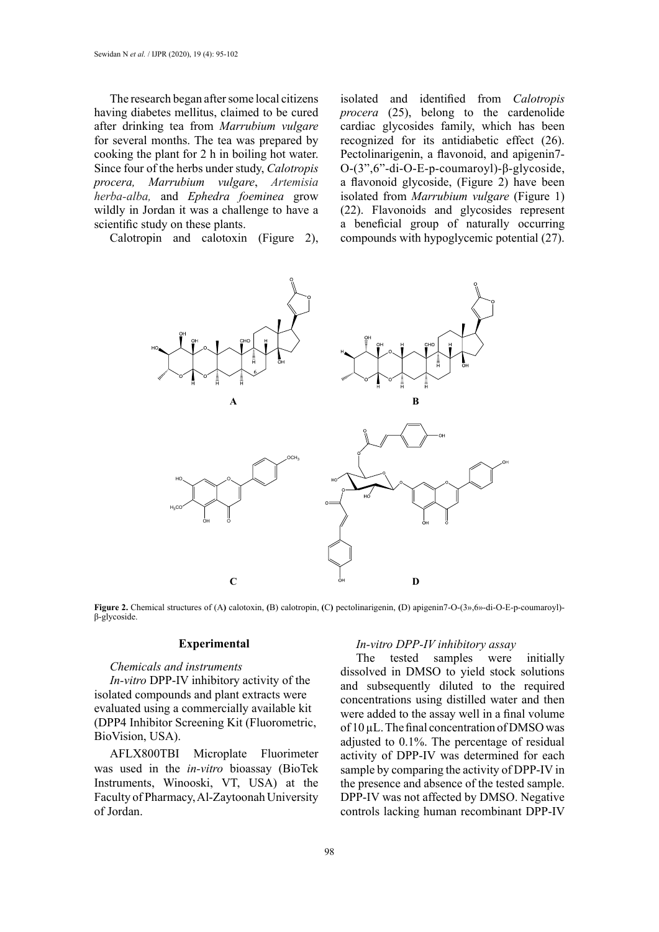The research began after some local citizens having diabetes mellitus, claimed to be cured after drinking tea from *Marrubium vulgare* for several months. The tea was prepared by cooking the plant for 2 h in boiling hot water. Since four of the herbs under study, *Calotropis procera, Marrubium vulgare*, *Artemisia herba-alba,* and *Ephedra foeminea* grow wildly in Jordan it was a challenge to have a scientific study on these plants.

Calotropin and calotoxin (Figure 2),

isolated and identified from *Calotropis procera* (25), belong to the cardenolide cardiac glycosides family, which has been recognized for its antidiabetic effect (26). Pectolinarigenin, a flavonoid, and apigenin7- O-(3",6"-di-O-E-p-coumaroyl)-β-glycoside, a flavonoid glycoside, (Figure 2) have been isolated from *Marrubium vulgare* (Figure 1) (22). Flavonoids and glycosides represent a beneficial group of naturally occurring compounds with hypoglycemic potential (27).



**Figure 2.** Chemical structures of (A) calotoxin, (B) calotropin, (C) pectolinarigenin, (D) apigenin7-O-(3»,6»-di-O-E-p-coumaroyl)-<br>β-glycoside. β-glycoside.

### **Experimental**

### *Chemicals and instruments*

*In-vitro* DPP-IV inhibitory activity of the isolated compounds and plant extracts were evaluated using a commercially available kit (DPP4 Inhibitor Screening Kit (Fluorometric, BioVision, USA).

AFLX800TBI Microplate Fluorimeter was used in the *in-vitro* bioassay (BioTek Instruments, Winooski, VT, USA) at the Faculty of Pharmacy, Al-Zaytoonah University of Jordan.

#### *In-vitro DPP-IV inhibitory assay*

The tested samples were initially dissolved in DMSO to yield stock solutions and subsequently diluted to the required concentrations using distilled water and then were added to the assay well in a final volume of 10 µL. The final concentration of DMSO was adjusted to 0.1%. The percentage of residual activity of DPP-IV was determined for each sample by comparing the activity of DPP-IV in the presence and absence of the tested sample. DPP-IV was not affected by DMSO. Negative controls lacking human recombinant DPP-IV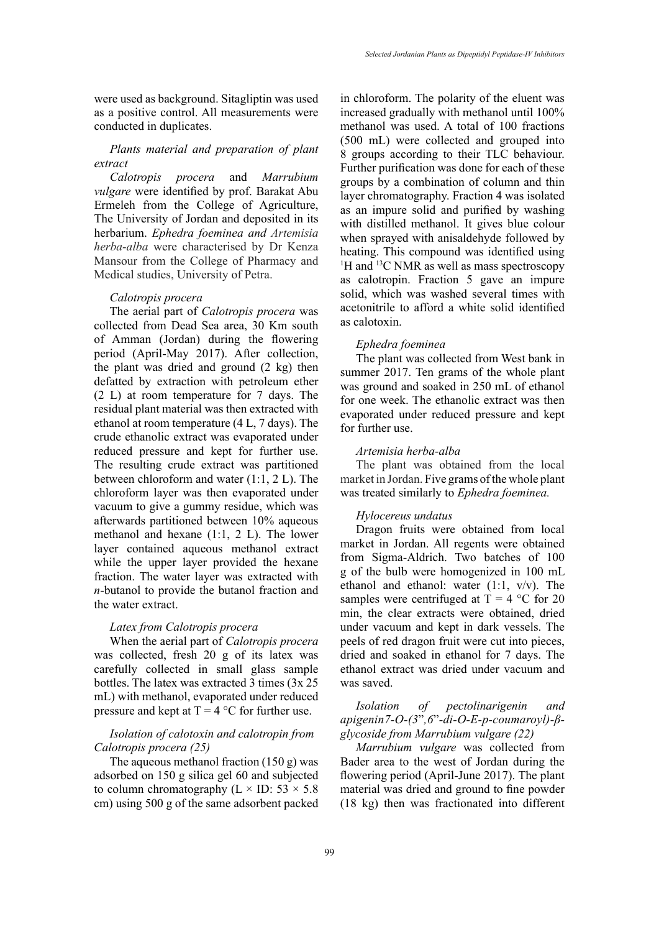were used as background. Sitagliptin was used as a positive control. All measurements were conducted in duplicates.

## *Plants material and preparation of plant extract*

*Calotropis procera* and *Marrubium vulgare* were identified by prof. Barakat Abu Ermeleh from the College of Agriculture, The University of Jordan and deposited in its herbarium. *Ephedra foeminea and Artemisia herba-alba* were characterised by Dr Kenza Mansour from the College of Pharmacy and Medical studies, University of Petra.

#### *Calotropis procera*

The aerial part of *Calotropis procera* was collected from Dead Sea area, 30 Km south of Amman (Jordan) during the flowering period (April-May 2017). After collection, the plant was dried and ground (2 kg) then defatted by extraction with petroleum ether (2 L) at room temperature for 7 days. The residual plant material was then extracted with ethanol at room temperature (4 L, 7 days). The crude ethanolic extract was evaporated under reduced pressure and kept for further use. The resulting crude extract was partitioned between chloroform and water (1:1, 2 L). The chloroform layer was then evaporated under vacuum to give a gummy residue, which was afterwards partitioned between 10% aqueous methanol and hexane (1:1, 2 L). The lower layer contained aqueous methanol extract while the upper layer provided the hexane fraction. The water layer was extracted with *n*-butanol to provide the butanol fraction and the water extract.

#### *Latex from Calotropis procera*

When the aerial part of *Calotropis procera* was collected, fresh 20 g of its latex was carefully collected in small glass sample bottles. The latex was extracted 3 times (3x 25 mL) with methanol, evaporated under reduced pressure and kept at  $T = 4$  °C for further use.

# *Isolation of calotoxin and calotropin from Calotropis procera (25)*

The aqueous methanol fraction (150 g) was adsorbed on 150 g silica gel 60 and subjected to column chromatography ( $L \times ID$ : 53  $\times$  5.8 cm) using 500 g of the same adsorbent packed in chloroform. The polarity of the eluent was increased gradually with methanol until 100% methanol was used. A total of 100 fractions (500 mL) were collected and grouped into 8 groups according to their TLC behaviour. Further purification was done for each of these groups by a combination of column and thin layer chromatography. Fraction 4 was isolated as an impure solid and purified by washing with distilled methanol. It gives blue colour when sprayed with anisaldehyde followed by heating. This compound was identified using <sup>1</sup>H and <sup>13</sup>C NMR as well as mass spectroscopy as calotropin. Fraction 5 gave an impure solid, which was washed several times with acetonitrile to afford a white solid identified as calotoxin.

### *Ephedra foeminea*

The plant was collected from West bank in summer 2017. Ten grams of the whole plant was ground and soaked in 250 mL of ethanol for one week. The ethanolic extract was then evaporated under reduced pressure and kept for further use.

### *Artemisia herba-alba*

The plant was obtained from the local market in Jordan. Five grams of the whole plant was treated similarly to *Ephedra foeminea.*

### *Hylocereus undatus*

Dragon fruits were obtained from local market in Jordan. All regents were obtained from Sigma-Aldrich. Two batches of 100 g of the bulb were homogenized in 100 mL ethanol and ethanol: water  $(1:1, v/v)$ . The samples were centrifuged at  $T = 4$  °C for 20 min, the clear extracts were obtained, dried under vacuum and kept in dark vessels. The peels of red dragon fruit were cut into pieces, dried and soaked in ethanol for 7 days. The ethanol extract was dried under vacuum and was saved.

# *Isolation of pectolinarigenin and apigenin7-O-(3*"*,6*"*-di-O-E-p-coumaroyl)-βglycoside from Marrubium vulgare (22)*

*Marrubium vulgare* was collected from Bader area to the west of Jordan during the flowering period (April-June 2017). The plant material was dried and ground to fine powder (18 kg) then was fractionated into different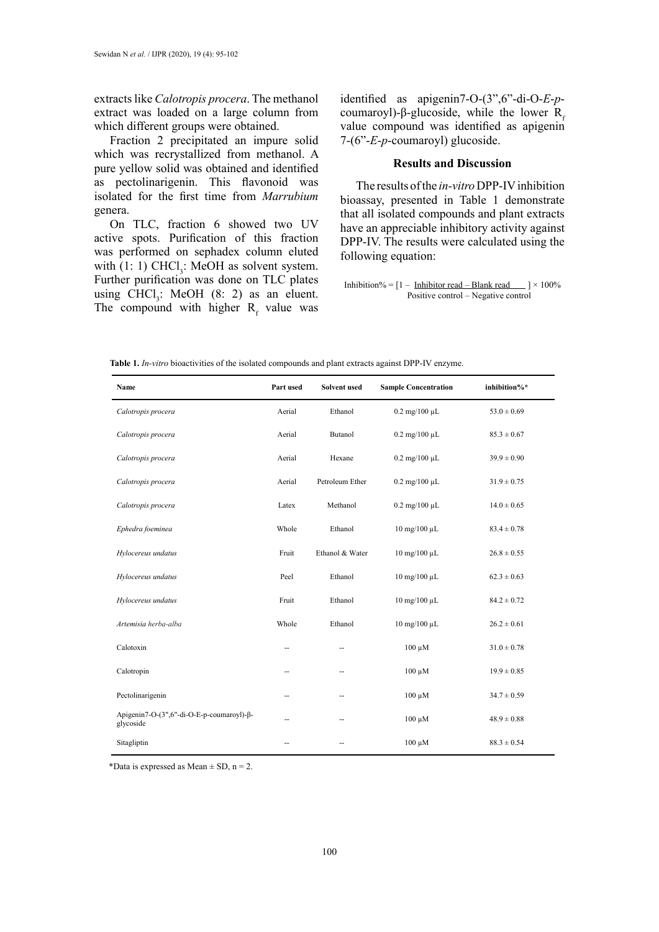extracts like *Calotropis procera*. The methanol extract was loaded on a large column from which different groups were obtained.

Fraction 2 precipitated an impure solid which was recrystallized from methanol. A pure yellow solid was obtained and identified as pectolinarigenin. This flavonoid was isolated for the first time from *Marrubium* genera.

On TLC, fraction 6 showed two UV active spots. Purification of this fraction was performed on sephadex column eluted with  $(1: 1)$  CHCl<sub>3</sub>: MeOH as solvent system. Further purification was done on TLC plates using  $CHCl<sub>3</sub>$ : MeOH (8: 2) as an eluent. The compound with higher  $R_f$  value was identified as apigenin7-O-(3",6"-di-O-*E*-*p*coumaroyl)-β-glucoside, while the lower  $R_f$ value compound was identified as apigenin 7-(6"-*E*-*p*-coumaroyl) glucoside.

### **Results and Discussion**

The results of the *in-vitro* DPP-IV inhibition bioassay, presented in Table 1 demonstrate that all isolated compounds and plant extracts have an appreciable inhibitory activity against DPP-IV. The results were calculated using the following equation:

Inhibition% =  $[1 -$  Inhibitor read – Blank read  $\qquad$  | × 100% Positive control – Negative control

Table 1. *In-vitro* bioactivities of the isolated compounds and plant extracts against DPP-IV enzyme.

| Name                                                    | Part used | Solvent used    | <b>Sample Concentration</b>              | inhibition%*    |
|---------------------------------------------------------|-----------|-----------------|------------------------------------------|-----------------|
| Calotropis procera                                      | Aerial    | Ethanol         | $0.2 \text{ mg}/100 \text{ }\mu\text{L}$ | $53.0 \pm 0.69$ |
| Calotropis procera                                      | Aerial    | Butanol         | $0.2 \text{ mg}/100 \text{ }\mu\text{L}$ | $85.3 \pm 0.67$ |
| Calotropis procera                                      | Aerial    | Hexane          | $0.2 \text{ mg}/100 \text{ }\mu\text{L}$ | $39.9 \pm 0.90$ |
| Calotropis procera                                      | Aerial    | Petroleum Ether | $0.2 \text{ mg}/100 \mu L$               | $31.9 \pm 0.75$ |
| Calotropis procera                                      | Latex     | Methanol        | $0.2 \text{ mg}/100 \mu L$               | $14.0 \pm 0.65$ |
| Ephedra foeminea                                        | Whole     | Ethanol         | $10$ mg/ $100$ $\mu$ L                   | $83.4 \pm 0.78$ |
| Hylocereus undatus                                      | Fruit     | Ethanol & Water | $10$ mg/ $100$ $\mu$ L                   | $26.8 \pm 0.55$ |
| Hylocereus undatus                                      | Peel      | Ethanol         | $10$ mg/ $100$ $\mu$ L                   | $62.3 \pm 0.63$ |
| Hylocereus undatus                                      | Fruit     | Ethanol         | $10$ mg/ $100$ $\mu$ L                   | $84.2 \pm 0.72$ |
| Artemisia herba-alba                                    | Whole     | Ethanol         | $10$ mg/ $100$ $\mu$ L                   | $26.2 \pm 0.61$ |
| Calotoxin                                               | --        | --              | $100 \mu M$                              | $31.0 \pm 0.78$ |
| Calotropin                                              |           |                 | $100 \mu M$                              | $19.9 \pm 0.85$ |
| Pectolinarigenin                                        | --        | --              | $100 \mu M$                              | $34.7 \pm 0.59$ |
| Apigenin7-O-(3", 6"-di-O-E-p-coumaroyl)-β-<br>glycoside |           | --              | $100 \mu M$                              | $48.9 \pm 0.88$ |
| Sitagliptin                                             |           |                 | $100 \mu M$                              | $88.3 \pm 0.54$ |

\*Data is expressed as Mean  $\pm$  SD, n = 2.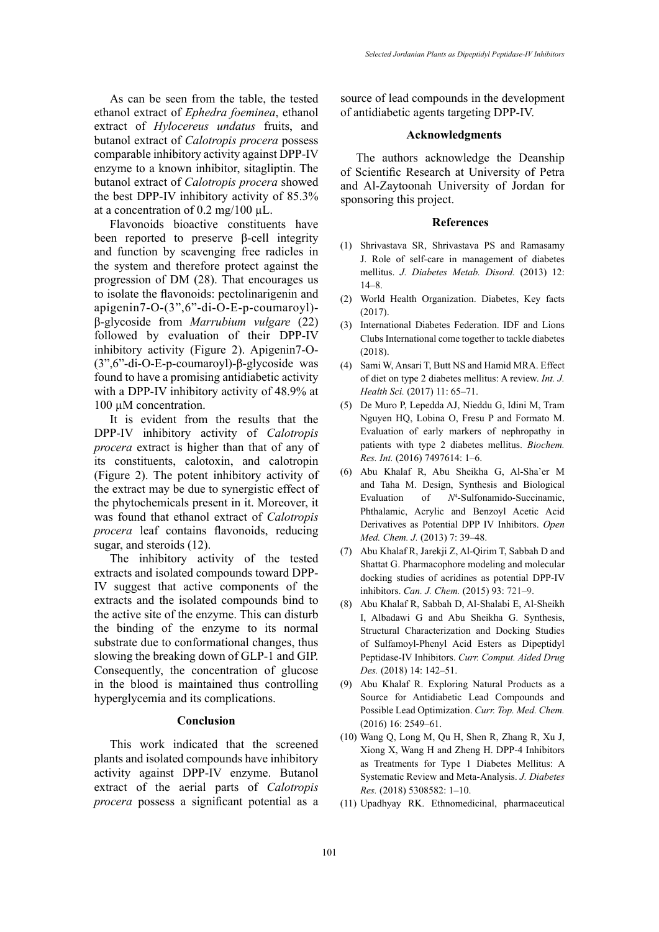As can be seen from the table, the tested ethanol extract of *Ephedra foeminea*, ethanol extract of *Hylocereus undatus* fruits, and butanol extract of *Calotropis procera* possess comparable inhibitory activity against DPP-IV enzyme to a known inhibitor, sitagliptin. The butanol extract of *Calotropis procera* showed the best DPP-IV inhibitory activity of 85.3% at a concentration of  $0.2 \text{ mg}/100 \mu\text{L}$ .

Flavonoids bioactive constituents have been reported to preserve β-cell integrity and function by scavenging free radicles in the system and therefore protect against the progression of DM (28). That encourages us to isolate the flavonoids: pectolinarigenin and apigenin7-O-(3",6"-di-O-E-p-coumaroyl) β-glycoside from *Marrubium vulgare* (22) followed by evaluation of their DPP-IV inhibitory activity (Figure 2). Apigenin7-O- (3",6"-di-O-E-p-coumaroyl)-β-glycoside was found to have a promising antidiabetic activity with a DPP-IV inhibitory activity of 48.9% at 100 µM concentration.

It is evident from the results that the DPP-IV inhibitory activity of *Calotropis procera* extract is higher than that of any of its constituents, calotoxin, and calotropin (Figure 2). The potent inhibitory activity of the extract may be due to synergistic effect of the phytochemicals present in it. Moreover, it was found that ethanol extract of *Calotropis procera* leaf contains flavonoids, reducing sugar, and steroids (12).

The inhibitory activity of the tested extracts and isolated compounds toward DPP-IV suggest that active components of the extracts and the isolated compounds bind to the active site of the enzyme. This can disturb the binding of the enzyme to its normal substrate due to conformational changes, thus slowing the breaking down of GLP-1 and GIP. Consequently, the concentration of glucose in the blood is maintained thus controlling hyperglycemia and its complications.

### **Conclusion**

This work indicated that the screened plants and isolated compounds have inhibitory activity against DPP-IV enzyme. Butanol extract of the aerial parts of *Calotropis procera* possess a significant potential as a source of lead compounds in the development of antidiabetic agents targeting DPP-IV.

#### **Acknowledgments**

The authors acknowledge the Deanship of Scientific Research at University of Petra and Al-Zaytoonah University of Jordan for sponsoring this project.

#### **References**

- (1) Shrivastava SR, Shrivastava PS and Ramasamy J. Role of self-care in management of diabetes mellitus. *J. Diabetes Metab. Disord.* (2013) 12:  $14 - 8$ .
- (2) World Health Organization. Diabetes, Key facts (2017).
- (3) International Diabetes Federation. IDF and Lions Clubs International come together to tackle diabetes (2018).
- (4) Sami W, Ansari T, Butt NS and Hamid MRA. Effect of diet on type 2 diabetes mellitus: A review. *Int. J. Health Sci.* (2017) 11: 65-71.
- (5) De Muro P, Lepedda AJ, Nieddu G, Idini M, Tram Nguyen HQ, Lobina O, Fresu P and Formato M. Evaluation of early markers of nephropathy in patients with type 2 diabetes mellitus. *Biochem. Res. Int.* (2016) 7497614: 1‒6.
- (6) Abu Khalaf R, Abu Sheikha G, Al-Sha'er M and Taha M. Design, Synthesis and Biological Evaluation of  $N^4$ -Sulfonamido-Succinamic, Phthalamic, Acrylic and Benzoyl Acetic Acid Derivatives as Potential DPP IV Inhibitors. *Open Med. Chem. J.* (2013) 7: 39-48.
- (7) Abu Khalaf R, Jarekji Z, Al-Qirim T, Sabbah D and Shattat G. Pharmacophore modeling and molecular docking studies of acridines as potential DPP-IV inhibitors. *Can. J. Chem.* (2015) 93: 721-9.
- (8) Abu Khalaf R, Sabbah D, Al-Shalabi E, Al-Sheikh I, Albadawi G and Abu Sheikha G. Synthesis, Structural Characterization and Docking Studies of Sulfamoyl-Phenyl Acid Esters as Dipeptidyl Peptidase-IV Inhibitors. *Curr. Comput. Aided Drug*  Des. (2018) 14: 142-51.
- (9) Abu Khalaf R. Exploring Natural Products as a Source for Antidiabetic Lead Compounds and Possible Lead Optimization. *Curr. Top. Med. Chem.*  (2016) 16: 2549‒61.
- (10) Wang Q, Long M, Qu H, Shen R, Zhang R, Xu J, Xiong X, Wang H and Zheng H. DPP-4 Inhibitors as Treatments for Type 1 Diabetes Mellitus: A Systematic Review and Meta-Analysis. *J. Diabetes Res.* (2018) 5308582: 1‒10.
- (11) Upadhyay RK. Ethnomedicinal, pharmaceutical